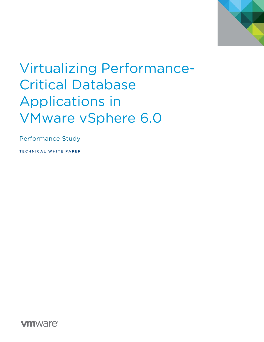

# Virtualizing Performance-Critical Database Applications in VMware vSphere 6.0

Performance Study

TECHNICAL WHITE PAPER

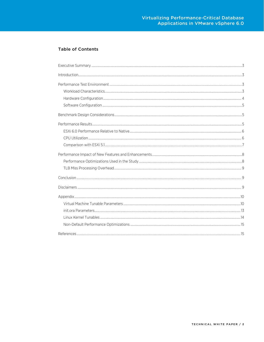### **Table of Contents**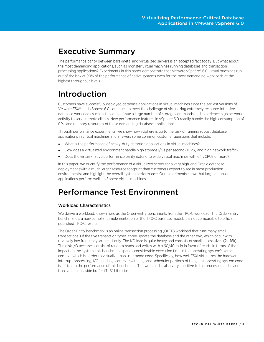# <span id="page-2-0"></span>Executive Summary

The performance parity between bare-metal and virtualized servers is an accepted fact today. But what about the most demanding applications, such as monster virtual machines running databases and transaction processing applications? Experiments in this paper demonstrate that VMware vSphere® 6.0 virtual machines run out of the box at 90% of the performance of native systems even for the most demanding workloads at the highest throughput levels.

# <span id="page-2-1"></span>Introduction

Customers have successfully deployed database applications in virtual machines since the earliest versions of VMware ESX®, and vSphere 6.0 continues to meet the challenge of virtualizing extremely resource-intensive database workloads such as those that issue a large number of storage commands and experience high network activity to serve remote clients. New performance features in vSphere 6.0 readily handle the high consumption of CPU and memory resources of these demanding database applications.

Through performance experiments, we show how vSphere is up to the task of running robust database applications in virtual machines and answers some common customer questions that include:

- What is the performance of heavy-duty database applications in virtual machines?
- How does a virtualized environment handle high storage I/Os per second (IOPS) and high network traffic?
- Does the virtual–native performance parity extend to wide virtual machines with 64 vCPUs or more?

In this paper, we quantify the performance of a virtualized server for a very high-end Oracle database deployment (with a much larger resource footprint than customers expect to see in most production environments) and highlight the overall system performance. Our experiments show that large database applications perform well in vSphere virtual machines.

### <span id="page-2-2"></span>Performance Test Environment

### <span id="page-2-3"></span>Workload Characteristics

We derive a workload, known here as the Order-Entry benchmark, from the TPC-C workload. The Order-Entry benchmark is a non-compliant implementation of the TPC-C business model; it is not comparable to official, published TPC-C results.

The Order-Entry benchmark is an online transaction processing (OLTP) workload that runs many small transactions. Of the five transaction types, three update the database and the other two, which occur with relatively low frequency, are read-only. The I/O load is quite heavy and consists of small access sizes (2k-16k). The disk I/O accesses consist of random reads and writes with a 60/40 ratio in favor of reads. In terms of the impact on the system, this benchmark spends considerable execution time in the operating system's kernel context, which is harder to virtualize than user mode code. Specifically, how well ESXi virtualizes the hardware interrupt processing, I/O handling, context switching, and scheduler portions of the guest operating system code is critical to the performance of this benchmark. The workload is also very sensitive to the processor cache and translation lookaside buffer (TLB) hit ratios.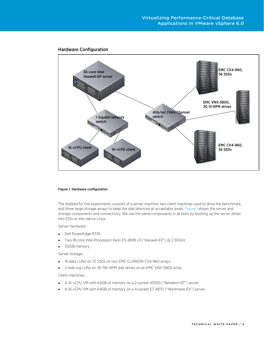

#### <span id="page-3-0"></span>Hardware Configuration

#### <span id="page-3-1"></span>Figure 1. Hardware configuration

The testbed for the experiments consists of a server machine, two client machines used to drive the benchmark, and three large storage arrays to keep the disk latencies at acceptable levels[. Figure 1](#page-3-1) shows the server and storage components and connectivity. We use the same components in all tests by booting up the server either into ESXi or into native Linux.

Server hardware:

- Dell PowerEdge R730
- Two 18-core Intel Processors Xeon E5-2699 v3 ("Haswell-EP") @ 2.30GHz
- 512GB memory

Server storage:

- 16 data LUNs on 72 SSDs on two EMC CLARiiON CX4-960 arrays
- 2 redo log LUNs on 30 15K-RPM disk drives on an EMC VNX-5800 array

Client machines:

- A 16-vCPU VM with 64GB of memory on a 2-socket X5550 ("Nehalem-EP") server
- A 16-vCPU VM with 64GB of memory on a 4-socket E7-4870 ("Westmere-EX") server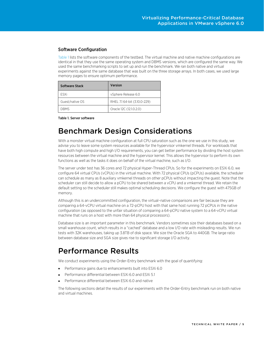### <span id="page-4-0"></span>Software Configuration

[Table 1](#page-4-3) lists the software components of the testbed. The virtual machine and native machine configurations are identical in that they use the same operating system and DBMS versions, which are configured the same way. We used the same benchmarking scripts to set up and run the benchmark. We ran both native and virtual experiments against the same database that was built on the three storage arrays. In both cases, we used large memory pages to ensure optimum performance.

| Software Stack  | <b>Version</b>               |
|-----------------|------------------------------|
| <b>FSXi</b>     | vSphere Release 6.0          |
| Guest/native OS | RHEL 7.1 64-bit (3.10.0-229) |
| <b>DRMS</b>     | Oracle 12C (12.1.0.2.0)      |

<span id="page-4-3"></span>Table 1. Server software

### <span id="page-4-1"></span>Benchmark Design Considerations

With a monster virtual machine configuration at full CPU saturation such as the one we use in this study, we advise you to leave some system resources available for the hypervisor vmkernel threads. For workloads that have both high compute and high I/O requirements, you can get better performance by dividing the host system resources between the virtual machine and the hypervisor kernel. This allows the hypervisor to perform its own functions as well as the tasks it does on behalf of the virtual machine, such as I/O.

The server under test has 36 cores and 72 physical Hyper-Thread CPUs. So for the experiments on ESXi 6.0, we configure 64 virtual CPUs (vCPUs) in the virtual machine. With 72 physical CPUs (pCPUs) available, the scheduler can schedule as many as 8 auxiliary vmkernel threads on other pCPUs without impacting the guest. Note that the scheduler can still decide to allow a pCPU to be shared between a vCPU and a vmkernel thread. We retain the default setting so the scheduler still makes optimal scheduling decisions. We configure the guest with 475GB of memory.

Although this is an undercommitted configuration, the virtual–native comparisons are fair because they are comparing a 64-vCPU virtual machine on a 72-pCPU host with that same host running 72 pCPUs in the native configuration (as opposed to the unfair situation of comparing a 64-pCPU native system to a 64-vCPU virtual machine that runs on a host with more than 64 physical processors).

Database size is an important parameter in this benchmark. Vendors sometimes size their databases based on a small warehouse count, which results in a "cached" database and a low I/O rate with misleading results. We run tests with 32K warehouses, taking up 3.8TB of disk space. We size the Oracle SGA to 440GB. The large ratio between database size and SGA size gives rise to significant storage I/O activity.

# <span id="page-4-2"></span>Performance Results

We conduct experiments using the Order-Entry benchmark with the goal of quantifying:

- Performance gains due to enhancements built into ESXi 6.0
- Performance differential between ESXi 6.0 and ESXi 5.1
- Performance differential between ESXi 6.0 and native

The following sections detail the results of our experiments with the Order-Entry benchmark run on both native and virtual machines.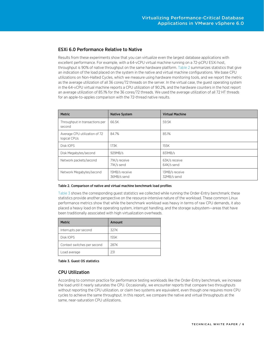### <span id="page-5-0"></span>ESXi 6.0 Performance Relative to Native

Results from these experiments show that you can virtualize even the largest database applications with excellent performance. For example, with a 64-vCPU virtual machine running on a 72-pCPU ESXi host, throughput is 90% of native throughput on the same hardware platform. [Table 2](#page-5-2) summarizes statistics that give an indication of the load placed on the system in the native and virtual machine configurations. We base CPU utilizations on Non-Halted Cycles, which we measure using hardware monitoring tools, and we report the metric as the average utilization of all 36 cores/72 threads on the server. In the virtual case, the guest operating system in the 64-vCPU virtual machine reports a CPU utilization of 90.2%, and the hardware counters in the host report an average utilization of 85.1% for the 36 cores/72 threads. We used the average utilization of all 72 HT threads for an apple-to-apples comparison with the 72-thread native results.

| <b>Metric</b>                                 | <b>Native System</b>          | <b>Virtual Machine</b>        |
|-----------------------------------------------|-------------------------------|-------------------------------|
| Throughput in transactions per<br>second      | 66.5K                         | 59.5K                         |
| Average CPU utilization of 72<br>logical CPUs | 84.7%                         | 85.1%                         |
| Disk IOPS                                     | 173K                          | 155K                          |
| Disk Megabytes/second                         | 929MB/s                       | 831MB/s                       |
| Network packets/second                        | 71K/s receive<br>71K/s send   | 63K/s receive<br>64K/s send   |
| Network Megabytes/second                      | 15MB/s receive<br>36MB/s send | 13MB/s receive<br>32MB/s send |

#### <span id="page-5-2"></span>Table 2. Comparison of native and virtual machine benchmark load profiles

[Table 3](#page-5-3) shows the corresponding guest statistics we collected while running the Order-Entry benchmark; these statistics provide another perspective on the resource-intensive nature of the workload. These common Linux performance metrics show that while the benchmark workload was heavy in terms of raw CPU demands, it also placed a heavy load on the operating system, interrupt handling, and the storage subsystem—areas that have been traditionally associated with high virtualization overheads.

| <b>Metric</b>               | Amount |
|-----------------------------|--------|
| Interrupts per second       | 327K   |
| Disk IOPS                   | 155K   |
| Context switches per second | 287K   |
| Load average                | 231    |

#### <span id="page-5-3"></span>Table 3. Guest OS statistics

#### <span id="page-5-1"></span>CPU Utilization

According to common practice for performance testing workloads like the Order-Entry benchmark, we increase the load until it nearly saturates the CPU. Occasionally, we encounter reports that compare two throughputs without reporting the CPU utilization, or claim two systems are equivalent, even though one requires more CPU cycles to achieve the same throughput. In this report, we compare the native and virtual throughputs at the same, near-saturation CPU utilizations.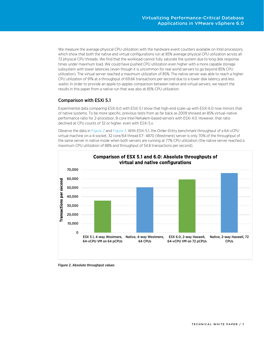We measure the average physical CPU utilization with the hardware event counters available on Intel processors, which show that both the native and virtual configurations run at 85% average physical CPU utilization across all 72 physical CPU threads. We find that the workload cannot fully saturate the system due to long disk response times under maximum load. We could have pushed CPU utilization even higher with a more capable storage subsystem with lower latencies (even though it is uncommon for real world servers to go beyond 85% CPU utilization). The virtual server reached a maximum utilization of 85%. The native server was able to reach a higher CPU utilization of 91% at a throughput of 69.6K transactions per second due to a lower disk latency and less waitio. In order to provide an apple-to-apples comparison between native and virtual servers, we report the results in this paper from a native run that was also at 85% CPU utilization.

### <span id="page-6-0"></span>Comparison with ESXi 5.1

Experimental data comparing ESXi 6.0 with ESXi 5.1 show that high-end scale-up with ESXi 6.0 now mirrors that of native systems. To be more specific, previous tests from as far back as 2009 showed an 85% virtual–native performance ratio for 2-processor, 8-core Intel Nehalem-based servers with ESXi 4.0. However, that ratio declined at CPU counts of 32 or higher, even with ESXi 5.x.

Observe the data in [Figure 2](#page-6-1) and [Figure 3.](#page-7-2) With ESXi 5.1, the Order-Entry benchmark throughput of a 64-vCPU virtual machine on a 4-socket, 32 core/64 thread E7- 4870 (Westmere) server is only 70% of the throughput of the same server in native mode when both servers are running at 77% CPU utilization (the native server reached a maximum CPU utilization of 88% and throughput of 54.8 transactions per second).



<span id="page-6-1"></span>Figure 2. Absolute throughput values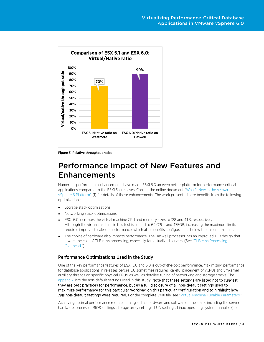

<span id="page-7-2"></span>Figure 3. Relative throughput ratios

## <span id="page-7-0"></span>Performance Impact of New Features and Enhancements

Numerous performance enhancements have made ESXi 6.0 an even better platform for performance-critical applications compared to the ESXi 5.x releases. Consult the online document ["What's New in the VMware](https://www.vmware.com/files/pdf/vsphere/VMW-WP-vSPHR-Whats-New-6-0-PLTFRM.pdf)  [vSphere 6](https://www.vmware.com/files/pdf/vsphere/VMW-WP-vSPHR-Whats-New-6-0-PLTFRM.pdf) Platform" [1] for details of those enhancements. The work presented here benefits from the following optimizations:

- Storage stack optimizations
- Networking stack optimizations
- ESXi 6.0 increases the virtual machine CPU and memory sizes to 128 and 4TB, respectively. Although the virtual machine in this test is limited to 64 CPUs and 475GB, increasing the maximum limits requires improved scale-up performance, which also benefits configurations below the maximum limits.
- The choice of hardware also impacts performance. The Haswell processor has an improved TLB design that lowers the cost of TLB miss processing, especially for virtualized servers. (See ["TLB Miss Processing](#page-8-0)  [Overhead."](#page-8-0))

#### <span id="page-7-1"></span>Performance Optimizations Used in the Study

One of the key performance features of ESXi 5.0 and 6.0 is out-of-the-box performance. Maximizing performance for database applications in releases before 5.0 sometimes required careful placement of vCPUs and vmkernel auxiliary threads on specific physical CPUs, as well as detailed tuning of networking and storage stacks. The [appendix](#page-9-1) lists the non-default settings used in this study. Note that these settings are listed not to suggest they are best practices for performance, but as a full disclosure of all non-default settings used to maximize performance for this particular workload on this particular configuration and to highlight how few non-default settings were required. For the complete VMX file, see ["Virtual Machine Tunable Parameters."](#page-9-1)

Achieving optimal performance requires tuning all the hardware and software in the stack, including the server hardware, processor BIOS settings, storage array settings, LUN settings, Linux operating system tunables (see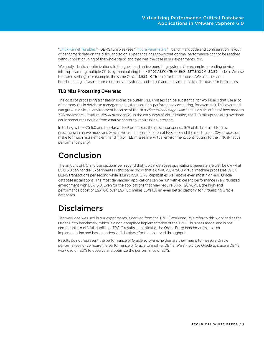["Linux Kernel Tunables"](#page-13-0)), DBMS tunables (see ["init.ora Parameters"](#page-12-0)), benchmark code and configuration, layout of benchmark data on the disks, and so on. Experience has shown that optimal performance cannot be reached without holistic tuning of the whole stack, and that was the case in our experiments, too.

We apply identical optimizations to the guest and native operating systems (for example, spreading device interrupts among multiple CPUs by manipulating the /proc/irq/NNN/smp\_affinity\_list nodes). We use the same settings (for example, the same Oracle init.ora file) for the database. We use the same benchmarking infrastructure (code, driver systems, and so on) and the same physical database for both cases.

### <span id="page-8-0"></span>TLB Miss Processing Overhead

The costs of processing translation lookaside buffer (TLB) misses can be substantial for workloads that use a lot of memory (as in database management systems or high-performance computing, for example). This overhead can grow in a virtual environment because of the two-dimensional page walk that is a side-effect of how modern X86 processors virtualize virtual memory [2]. In the early days of virtualization, the TLB miss processing overhead could sometimes double from a native server to its virtual counterpart.

In testing with ESXi 6.0 and the Haswell-EP processor, the processor spends 16% of its time in TLB miss processing in native mode and 20% in virtual. The combination of ESXi 6.0 and the most recent X86 processors make for much more efficient handling of TLB misses in a virtual environment, contributing to the virtual-native performance parity.

# <span id="page-8-1"></span>Conclusion

The amount of I/O and transactions per second that typical database applications generate are well below what ESXi 6.0 can handle. Experiments in this paper show that a 64-vCPU, 475GB virtual machine processes 59.5K DBMS transactions per second while issuing 155K IOPS, capabilities well above even most high-end Oracle database installations. The most demanding applications can be run with excellent performance in a virtualized environment with ESXi 6.0. Even for the applications that may require 64 or 128 vCPUs, the high-end performance boost of ESXi 6.0 over ESXi 5.x makes ESXi 6.0 an even better platform for virtualizing Oracle databases.

### <span id="page-8-2"></span>Disclaimers

The workload we used in our experiments is derived from the TPC-C workload. We refer to this workload as the Order-Entry benchmark, which is a non-compliant implementation of the TPC-C business model and is not comparable to official, published TPC-C results. In particular, the Order-Entry benchmark is a batch implementation and has an undersized database for the observed throughput.

Results do not represent the performance of Oracle software, neither are they meant to measure Oracle performance nor compare the performance of Oracle to another DBMS. We simply use Oracle to place a DBMS workload on ESXi to observe and optimize the performance of ESXi.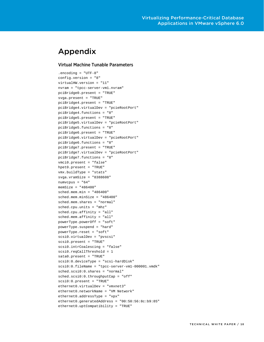### <span id="page-9-0"></span>Appendix

#### <span id="page-9-1"></span>Virtual Machine Tunable Parameters

.encoding = "UTF-8" config.version = "8" virtualHW.version = "11" nvram = "tpcc-server-vm1.nvram" pciBridge0.present = "TRUE" svga.present = "TRUE" pciBridge4.present = "TRUE" pciBridge4.virtualDev = "pcieRootPort" pciBridge4.functions = "8" pciBridge5.present = "TRUE" pciBridge5.virtualDev = "pcieRootPort" pciBridge5.functions = "8" pciBridge6.present = "TRUE" pciBridge6.virtualDev = "pcieRootPort" pciBridge6.functions = "8" pciBridge7.present = "TRUE" pciBridge7.virtualDev = "pcieRootPort" pciBridge7.functions = "8" vmci0.present = "false" hpet0.present = "TRUE" vmx.buildType = "stats" svga.vramSize = "8388608" numvcpus = "64" memSize = "486400" sched.mem.min = "486400" sched.mem.minSize = "486400" sched.mem.shares = "normal" sched.cpu.units = "mhz" sched.cpu.affinity = "all" sched.mem.affinity = "all" powerType.powerOff = "soft" powerType.suspend = "hard" powerType.reset = "soft" scsi0.virtualDev = "pvscsi" scsi0.present = "TRUE" scsi0.intrCoalescing = "false" scsi0.reqCallThreshold = 1 sata0.present = "TRUE" scsi0:0.deviceType = "scsi-hardDisk" scsi0:0.fileName = "tpcc-server-vm1-000001.vmdk" sched.scsi0:0.shares = "normal" sched.scsi0:0.throughputCap = "off" scsi0:0.present = "TRUE" ethernet0.virtualDev = "vmxnet3" ethernet0.networkName = "VM Network" ethernet0.addressType = "vpx" ethernet0.generatedAddress = "00:50:56:8c:b9:85" ethernet0.uptCompatibility = "TRUE"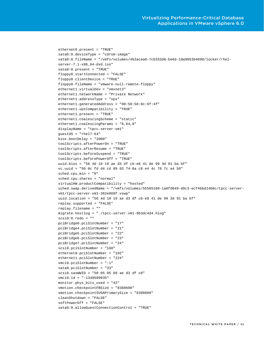```
ethernet0.present = "TRUE"
sata0:0.deviceType = "cdrom-image"
sata0:0.fileName = "/vmfs/volumes/4b2acea8-7cb333d8-be6d-18a9053b4890/locker/rhel-
server-7.1-x86_64-dvd.iso"
sata0:0.present = "TRUE"
floppy0.startConnected = "FALSE"
floppy0.clientDevice = "TRUE"
floppy0.fileName = "vmware-null-remote-floppy"
ethernet1.virtualDev = "vmxnet3"
ethernet1.networkName = "Private Network"
ethernet1.addressType = "vpx"
ethernet1.generatedAddress = "00:50:56:8c:6f:4f"
ethernet1.uptCompatibility = "TRUE"
ethernet1.present = "TRUE"
ethernet1.coalescingScheme = "static"
ethernet1.coalescingParams = "8,64,8"
displayName = "tpcc-server-vm1"
guestOS = "rhel7-64"
bios.bootDelay = "2000"
toolScripts.afterPowerOn = "TRUE"
toolScripts.afterResume = "TRUE"
toolScripts.beforeSuspend = "TRUE"
toolScripts.beforePowerOff = "TRUE"
uuid.bios = "56 4d 10 19 ae d3 df cb-e8 41 de 99 3d 91 ba bf"
vc.uuid = "50 0c fd d4 cd 89 03 74-0a c8 e4 4c 70 7c a4 50"
sched.cpu.min = "0"
sched.cpu.shares = "normal"
virtualHW.productCompatibility = "hosted"
sched.swap.derivedName = "/vmfs/volumes/55565160-1a8fd049-d9c3-ecf4bbd14b8c/tpcc-server-
vm1/tpcc-server-vm1-362e860f.vswp"
uuid.location = "56 4d 10 19 ae d3 df cb-e8 41 de 99 3d 91 ba bf"
replay.supported = "FALSE"
replay.filename = ""
migrate.hostlog = "./tpcc-server-vm1-9b3dc4d4.hlog"
scsi0:0.redo = ""
pciBridge0.pciSlotNumber = "17"
pciBridge4.pciSlotNumber = "21"
pciBridge5.pciSlotNumber = "22"
pciBridge6.pciSlotNumber = "23"
pciBridge7.pciSlotNumber = "24"
scsi0.pciSlotNumber = "160"
ethernet0.pciSlotNumber = "192"
ethernet1.pciSlotNumber = "224"
vmci0.pciSlotNumber = "-1"
sata0.pciSlotNumber = "33"
scsi0.sasWWID = "50 05 05 69 ae d3 df c0"
vmci0.id = "-1349589935"
monitor.phys_bits_used = "42"
vmotion.checkpointFBSize = "8388608"
vmotion.checkpointSVGAPrimarySize = "8388608"
cleanShutdown = "FALSE"
softPowerOff = "FALSE"
sata0:0.allowGuestConnectionControl = "TRUE"
```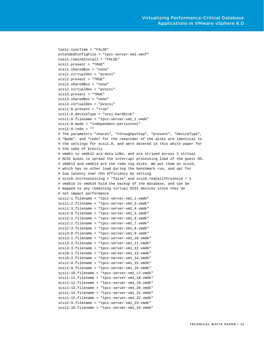```
tools.syncTime = "FALSE"
extendedConfigFile = "tpcc-server-vm1.vmxf"
tools.remindInstall = "FALSE"
scsi1.present = "TRUE"
scsi1.sharedBus = "none"
scsi1.virtualDev = "pvscsi"
scsi2.present = "TRUE"
scsi2.sharedBus = "none"
scsi2.virtualDev = "pvscsi"
scsi3.present = "TRUE"
scsi3.sharedBus = "none"
scsi3.virtualDev = "pvscsi"
scsi1:0.present = "true"
scsi1:0.deviceType = "scsi-hardDisk"
scsi1:0.filename = "tpcc-server-vm1_1.vmdk"
scsi1:0.mode = "independent-persistent"
scsi1:0.redo = ""
# The parameters "shares", "throughputCap", "present", "deviceType",
# "mode", and "redo" for the remainder of the disks are identical to
# the settings for scsi1.0, and were deleted in this white paper for
# the sake of brevity
# vmdk1 to vmdk12 are data LUNs, and are striped across 3 virtual
# SCSI buses to spread the interrupt processing load of the guest OS.
# vmdk13 and vmdk14 are the redo log disks. We put them on scsi0,
# which has no other load during the benchmark run, and opt for
# low latency over CPU efficiency by setting
# scsi0.intrCoalescing = "false" and scsi0.reqCallThreshold = 1
# vmdk15 to vmdk34 hold the backup of the database, and can be
# mapped to any remaining virtual SCSI devices since they do
# not impact performance
scsi1:1.filename = "tpcc-server-vm1_2.vmdk"
scsi1:2.filename = "tpcc-server-vm1_3.vmdk"
scsi1:3.filename = "tpcc-server-vm1_4.vmdk"
scsi2:0.filename = "tpcc-server-vm1_5.vmdk"
scsi2:1.filename = "tpcc-server-vm1_6.vmdk"
scsi2:2.filename = "tpcc-server-vm1_7.vmdk"
scsi2:3.filename = "tpcc-server-vm1_8.vmdk"
scsi3:0.filename = "tpcc-server-vm1_9.vmdk"
scsi3:1.filename = "tpcc-server-vm1_10.vmdk"
scsi3:2.filename = "tpcc-server-vm1_11.vmdk"
scsi3:3.filename = "tpcc-server-vm1_12.vmdk"
scsi0:1.filename = "tpcc-server-vm1_13.vmdk"
scsi0:2.filename = "tpcc-server-vm1_14.vmdk"
scsi1:8.filename = "tpcc-server-vm1_15.vmdk"
scsi1:9.filename = "tpcc-server-vm1_16.vmdk"
scsi1:10.filename = "tpcc-server-vm1_17.vmdk"
scsi1:11.filename = "tpcc-server-vm1_18.vmdk"
scsi1:12.filename = "tpcc-server-vm1_19.vmdk"
scsi1:13.filename = "tpcc-server-vm1_20.vmdk"
scsi1:14.filename = "tpcc-server-vm1_21.vmdk"
scsi1:15.filename = "tpcc-server-vm1_22.vmdk"
scsi2:9.filename = "tpcc-server-vm1_23.vmdk"
scsi2:10.filename = "tpcc-server-vm1_24.vmdk"
```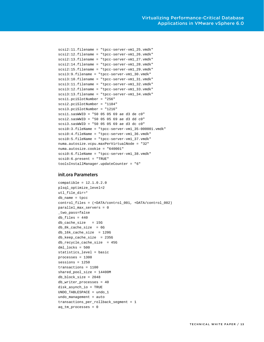```
scsi2:11.filename = "tpcc-server-vm1_25.vmdk"
scsi2:12.filename = "tpcc-server-vm1_26.vmdk"
scsi2:13.filename = "tpcc-server-vm1_27.vmdk"
scsi2:14.filename = "tpcc-server-vm1_28.vmdk"
scsi2:15.filename = "tpcc-server-vm1_29.vmdk"
scsi3:9.filename = "tpcc-server-vm1_30.vmdk"
scsi3:10.filename = "tpcc-server-vm1_31.vmdk"
scsi3:11.filename = "tpcc-server-vm1_32.vmdk"
scsi3:12.filename = "tpcc-server-vm1_33.vmdk"
scsi3:13.filename = "tpcc-server-vm1_34.vmdk"
scsi1.pciSlotNumber = "256"
scsi2.pciSlotNumber = "1184"
scsi3.pciSlotNumber = "1216"
scsi1.sasWWID = "50 05 05 69 ae d3 de c0"
scsi2.sasWWID = "50 05 05 69 ae d3 dd c0"
scsi3.sasWWID = "50 05 05 69 ae d3 dc c0"
scsi0:3.fileName = "tpcc-server-vm1_35-000001.vmdk"
scsi0:4.fileName = "tpcc-server-vm1_36.vmdk"
scsi0:5.fileName = "tpcc-server-vm1_37.vmdk"
numa.autosize.vcpu.maxPerVirtualNode = "32"
numa.autosize.cookie = "640001"
scsi0:6.fileName = "tpcc-server-vm1_38.vmdk"
scsi0:6.present = "TRUE"
toolsInstallManager.updateCounter = "6"
```
#### <span id="page-12-0"></span>init.ora Parameters

```
compatible = 12.1.0.2.0
plsql_optimize_level=2
utl_file_dir=*
db_name = tpcc
control_files = (+DATA/control_001, +DATA/control_002)
parallel_max_servers = 0
_two_pass=false
db files = 440db_cache_size = 15G
db_8k_cache_size = 6G
db_16k_cache_size = 120G
db_keep_cache_size = 235G
db_recycle_cache_size = 45G
dml_locks = 500
statistics_level = basic
processes = 1300
sessions = 1250
transactions = 1100
shared_pool_size = 14400M
db_block_size = 2048
db_writer_processes = 40
disk_asynch_io = TRUE
UNDO_TABLESPACE = undo_1
undo_management = auto
transactions_per_rollback_segment = 1
aq_tm_processes = 0
```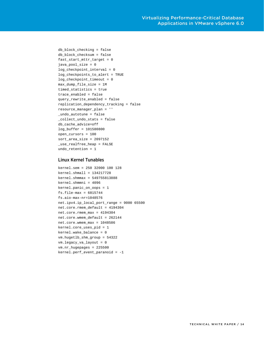```
db_block_checking = false
db_block_checksum = false
fast_start_mttr_target = 0
java_pool_size = 0
log_checkpoint_interval = 0
log_checkpoints_to_alert = TRUE
log_checkpoint_timeout = 0
max_dump_file_size = 1M
timed_statistics = true
trace_enabled = false
query_rewrite_enabled = false
replication_dependency_tracking = false
resource_manager_plan = ''
_undo_autotune = false
_collect_undo_stats = false
db_cache_advice=off
log_buffer = 101580800 
open_cursors = 100
sort_area_size = 2097152
_use_realfree_heap = FALSE 
undo_retention = 1
```
#### <span id="page-13-0"></span>Linux Kernel Tunables

```
kernel.sem = 250 32000 100 128
kernel.shmall = 134217728
kernel.shmmax = 549755813888
kernel.shmmni = 4096
kernel.panic_on_oops = 1
fs.file-max = 6815744
fs.aio-max-nr=1048576
net.ipv4.ip_local_port_range = 9000 65500
net.core.rmem_default = 4194304
net.core.rmem_max = 4194304
net.core.wmem_default = 262144
net.core.wmem_max = 1048586
kernel.core_uses_pid = 1
kernel.wake_balance = 0
vm.hugetlb_shm_group = 54322
vm.legacy_va_layout = 0
vm.nr_hugepages = 225500
kernel.perf_event_paranoid = -1
```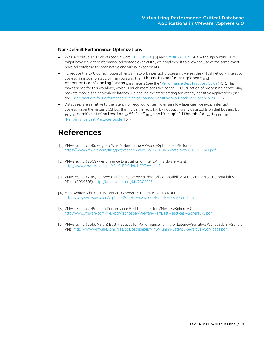#### <span id="page-14-0"></span>Non-Default Performance Optimizations

- We used virtual RDM disks (see VMwar[e KB 2009226](http://kb.vmware.com/kb/2009226) [\[3\]](#page-14-2) an[d VMDK vs. RDM](https://blogs.vmware.com/vsphere/2013/01/vsphere-5-1-vmdk-versus-rdm.html) [\[4\]](#page-14-3)). Although Virtual RDM might have a slight performance advantage over VMFS, we employed it to allow the use of the same exact physical database for both native and virtual experiments.
- To reduce the CPU consumption of virtual network interrupt processing, we set the virtual network interrupt coalescing mode to static by manipulating the ethernet1.coalescingScheme and ethernet1.coalescingParams parameters (see the ["Performance Best Practices Guide"](http://www.vmware.com/files/pdf/techpaper/VMware-PerfBest-Practices-vSphere6-0.pdf) [\[5\]](#page-14-4)). This makes sense for this workload, which is much more sensitive to the CPU utilization of processing networking packets than it is to networking latency. Do not use the static setting for latency-sensitive applications (see the ["Best Practices for Performance Tuning of Latency-Sensitive Workloads in vSphere VMs"](https://www.vmware.com/files/pdf/techpaper/VMW-Tuning-Latency-Sensitive-Workloads.pdf) [6]).
- Databases are sensitive to the latency of redo log writes. To ensure low latencies, we avoid interrupt coalescing on the virtual SCSI bus that holds the redo log by not putting any data LUNs on that bus and by setting scsi0.intrCoalescing to "false" and scsi0.reqCallThreshold to 1 (see the ["Performance Best Practices Guide"](http://www.vmware.com/files/pdf/techpaper/VMware-PerfBest-Practices-vSphere6-0.pdf) [\[5\]](#page-14-4)).

### <span id="page-14-1"></span>References

- [1] VMware, Inc. (2015, August) What's New in the VMware vSphere 6.0 Platform. <https://www.vmware.com/files/pdf/vsphere/VMW-WP-vSPHR-Whats-New-6-0-PLTFRM.pdf>
- [2] VMware, Inc. (2009) Performance Evalutation of Intel EPT Hardware Assist. [http://www.vmware.com/pdf/Perf\\_ESX\\_Intel-EPT-eval.pdf](http://www.vmware.com/pdf/Perf_ESX_Intel-EPT-eval.pdf)
- <span id="page-14-2"></span>[3] VMware, Inc. (2015, October) Difference Between Physical Compatibility RDMs and Virtual Compatibility RDMs (2009226)[. http://kb.vmware.com/kb/2009226](http://kb.vmware.com/kb/2009226)
- <span id="page-14-3"></span>[4] Mark Achtemichuk. (2013, January) vSphere 5.1 - VMDK versus RDM. <https://blogs.vmware.com/vsphere/2013/01/vsphere-5-1-vmdk-versus-rdm.html>
- <span id="page-14-4"></span>[5] VMware, Inc. (2015, June) Performance Best Practices for VMware vSphere 6.0. <http://www.vmware.com/files/pdf/techpaper/VMware-PerfBest-Practices-vSphere6-0.pdf>
- [6] VMware, Inc. (2013, March) Best Practices for Performance Tuning of Latency-Sensitive Workloads in vSphere VMs.<https://www.vmware.com/files/pdf/techpaper/VMW-Tuning-Latency-Sensitive-Workloads.pdf>